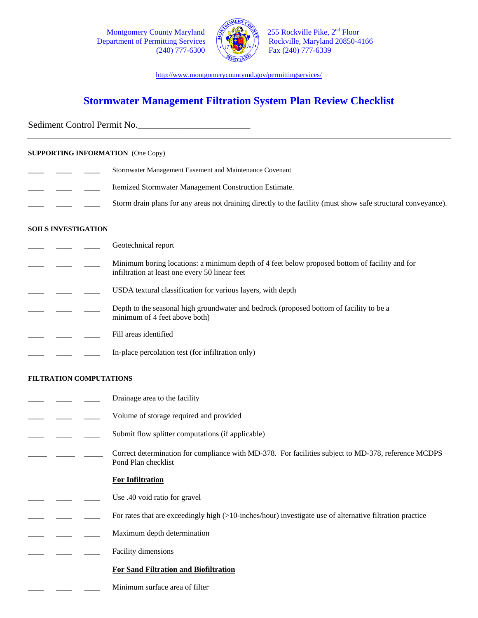Department of Permitting Services



Montgomery County Maryland  $\left(\frac{25}{100}\right)^{14}$  255 Rockville Pike,  $2^{nd}$  Floor partment of Permitting Services  $(240)$  777-6300  $\sqrt{\frac{1000}{2}}$  Fax (240) 777-6339

http://www.montgomerycountymd.gov/permittingservices/

# **Stormwater Management Filtration System Plan Review Checklist**

Sediment Control Permit No.

## **SUPPORTING INFORMATION** (One Copy)

- Stormwater Management Easement and Maintenance Covenant Itemized Stormwater Management Construction Estimate.
- Storm drain plans for any areas not draining directly to the facility (must show safe structural conveyance).

## **SOILS INVESTIGATION**

Geotechnical report Minimum boring locations: a minimum depth of 4 feet below proposed bottom of facility and for infiltration at least one every 50 linear feet USDA textural classification for various layers, with depth Depth to the seasonal high groundwater and bedrock (proposed bottom of facility to be a minimum of 4 feet above both) Fill areas identified In-place percolation test (for infiltration only)

# **FILTRATION COMPUTATIONS**

- Drainage area to the facility
- Volume of storage required and provided
- Submit flow splitter computations (if applicable)
- \_\_\_\_ \_\_\_\_ \_\_\_\_ Correct determination for compliance with MD-378. For facilities subject to MD-378, reference MCDPS Pond Plan checklist

#### **For Infiltration**

- \_\_\_\_ \_\_\_\_ \_\_\_\_ Use .40 void ratio for gravel
- For rates that are exceedingly high (>10-inches/hour) investigate use of alternative filtration practice
- Maximum depth determination
- Facility dimensions

# **For Sand Filtration and Biofiltration**

Minimum surface area of filter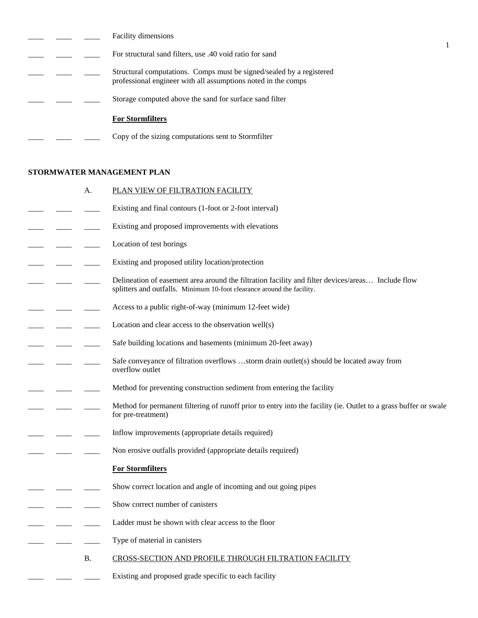|  | <b>Facility dimensions</b>                                                                                                            |
|--|---------------------------------------------------------------------------------------------------------------------------------------|
|  | For structural sand filters, use .40 void ratio for sand                                                                              |
|  | Structural computations. Comps must be signed/sealed by a registered<br>professional engineer with all assumptions noted in the comps |
|  | Storage computed above the sand for surface sand filter                                                                               |
|  | <b>For Stormfilters</b>                                                                                                               |
|  | Copy of the sizing computations sent to Stormfilter                                                                                   |

# **STORMWATER MANAGEMENT PLAN**

|  | А.        | PLAN VIEW OF FILTRATION FACILITY                                                                                                                                            |
|--|-----------|-----------------------------------------------------------------------------------------------------------------------------------------------------------------------------|
|  |           | Existing and final contours (1-foot or 2-foot interval)                                                                                                                     |
|  |           | Existing and proposed improvements with elevations                                                                                                                          |
|  |           | Location of test borings                                                                                                                                                    |
|  |           | Existing and proposed utility location/protection                                                                                                                           |
|  |           | Delineation of easement area around the filtration facility and filter devices/areas Include flow<br>splitters and outfalls. Minimum 10-foot clearance around the facility. |
|  |           | Access to a public right-of-way (minimum 12-feet wide)                                                                                                                      |
|  |           | Location and clear access to the observation well(s)                                                                                                                        |
|  |           | Safe building locations and basements (minimum 20-feet away)                                                                                                                |
|  |           | Safe conveyance of filtration overflows storm drain outlet(s) should be located away from<br>overflow outlet                                                                |
|  |           | Method for preventing construction sediment from entering the facility                                                                                                      |
|  |           | Method for permanent filtering of runoff prior to entry into the facility (ie. Outlet to a grass buffer or swale<br>for pre-treatment)                                      |
|  |           | Inflow improvements (appropriate details required)                                                                                                                          |
|  |           | Non erosive outfalls provided (appropriate details required)                                                                                                                |
|  |           | <b>For Stormfilters</b>                                                                                                                                                     |
|  |           | Show correct location and angle of incoming and out going pipes                                                                                                             |
|  |           | Show correct number of canisters                                                                                                                                            |
|  |           | Ladder must be shown with clear access to the floor                                                                                                                         |
|  |           | Type of material in canisters                                                                                                                                               |
|  | <b>B.</b> | CROSS-SECTION AND PROFILE THROUGH FILTRATION FACILITY                                                                                                                       |
|  |           | Existing and proposed grade specific to each facility                                                                                                                       |
|  |           |                                                                                                                                                                             |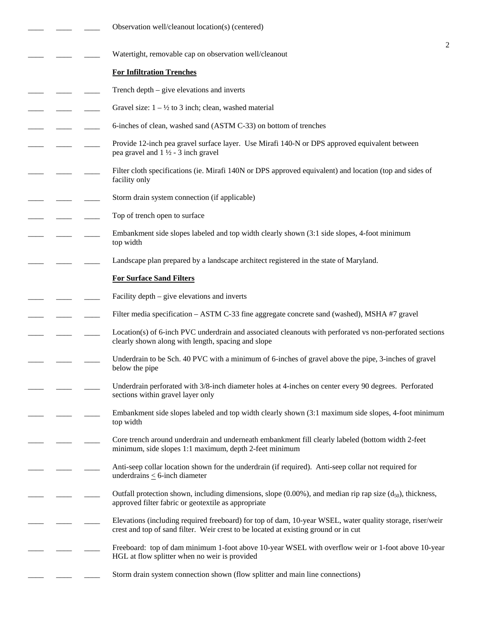|  | Observation well/cleanout location(s) (centered)                                                                                                                                                 |   |
|--|--------------------------------------------------------------------------------------------------------------------------------------------------------------------------------------------------|---|
|  | Watertight, removable cap on observation well/cleanout                                                                                                                                           | 2 |
|  | <b>For Infiltration Trenches</b>                                                                                                                                                                 |   |
|  | Trench depth – give elevations and inverts                                                                                                                                                       |   |
|  | Gravel size: $1 - \frac{1}{2}$ to 3 inch; clean, washed material                                                                                                                                 |   |
|  | 6-inches of clean, washed sand (ASTM C-33) on bottom of trenches                                                                                                                                 |   |
|  | Provide 12-inch pea gravel surface layer. Use Mirafi 140-N or DPS approved equivalent between<br>pea gravel and $1\frac{1}{2}$ - 3 inch gravel                                                   |   |
|  | Filter cloth specifications (ie. Mirafi 140N or DPS approved equivalent) and location (top and sides of<br>facility only                                                                         |   |
|  | Storm drain system connection (if applicable)                                                                                                                                                    |   |
|  | Top of trench open to surface                                                                                                                                                                    |   |
|  | Embankment side slopes labeled and top width clearly shown (3:1 side slopes, 4-foot minimum<br>top width                                                                                         |   |
|  | Landscape plan prepared by a landscape architect registered in the state of Maryland.                                                                                                            |   |
|  | <b>For Surface Sand Filters</b>                                                                                                                                                                  |   |
|  | Facility depth – give elevations and inverts                                                                                                                                                     |   |
|  | Filter media specification – ASTM C-33 fine aggregate concrete sand (washed), MSHA #7 gravel                                                                                                     |   |
|  | Location(s) of 6-inch PVC underdrain and associated cleanouts with perforated vs non-perforated sections<br>clearly shown along with length, spacing and slope                                   |   |
|  | Underdrain to be Sch. 40 PVC with a minimum of 6-inches of gravel above the pipe, 3-inches of gravel<br>below the pipe                                                                           |   |
|  | Underdrain perforated with 3/8-inch diameter holes at 4-inches on center every 90 degrees. Perforated<br>sections within gravel layer only                                                       |   |
|  | Embankment side slopes labeled and top width clearly shown (3:1 maximum side slopes, 4-foot minimum<br>top width                                                                                 |   |
|  | Core trench around underdrain and underneath embankment fill clearly labeled (bottom width 2-feet<br>minimum, side slopes 1:1 maximum, depth 2-feet minimum                                      |   |
|  | Anti-seep collar location shown for the underdrain (if required). Anti-seep collar not required for<br>underdrains $\leq$ 6-inch diameter                                                        |   |
|  | Outfall protection shown, including dimensions, slope $(0.00\%)$ , and median rip rap size $(d_{50})$ , thickness,<br>approved filter fabric or geotextile as appropriate                        |   |
|  | Elevations (including required freeboard) for top of dam, 10-year WSEL, water quality storage, riser/weir<br>crest and top of sand filter. Weir crest to be located at existing ground or in cut |   |
|  | Freeboard: top of dam minimum 1-foot above 10-year WSEL with overflow weir or 1-foot above 10-year<br>HGL at flow splitter when no weir is provided                                              |   |
|  | Storm drain system connection shown (flow splitter and main line connections)                                                                                                                    |   |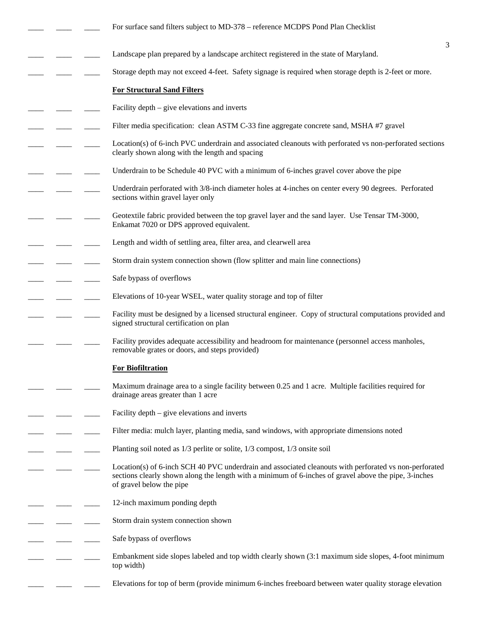|  | For surface sand filters subject to MD-378 – reference MCDPS Pond Plan Checklist                                                                                                                                                            |
|--|---------------------------------------------------------------------------------------------------------------------------------------------------------------------------------------------------------------------------------------------|
|  | 3<br>Landscape plan prepared by a landscape architect registered in the state of Maryland.                                                                                                                                                  |
|  | Storage depth may not exceed 4-feet. Safety signage is required when storage depth is 2-feet or more.                                                                                                                                       |
|  | <b>For Structural Sand Filters</b>                                                                                                                                                                                                          |
|  | Facility depth $-$ give elevations and inverts                                                                                                                                                                                              |
|  |                                                                                                                                                                                                                                             |
|  | Filter media specification: clean ASTM C-33 fine aggregate concrete sand, MSHA #7 gravel                                                                                                                                                    |
|  | Location(s) of 6-inch PVC underdrain and associated cleanouts with perforated vs non-perforated sections<br>clearly shown along with the length and spacing                                                                                 |
|  | Underdrain to be Schedule 40 PVC with a minimum of 6-inches gravel cover above the pipe                                                                                                                                                     |
|  | Underdrain perforated with 3/8-inch diameter holes at 4-inches on center every 90 degrees. Perforated<br>sections within gravel layer only                                                                                                  |
|  | Geotextile fabric provided between the top gravel layer and the sand layer. Use Tensar TM-3000,<br>Enkamat 7020 or DPS approved equivalent.                                                                                                 |
|  | Length and width of settling area, filter area, and clearwell area                                                                                                                                                                          |
|  | Storm drain system connection shown (flow splitter and main line connections)                                                                                                                                                               |
|  | Safe bypass of overflows                                                                                                                                                                                                                    |
|  | Elevations of 10-year WSEL, water quality storage and top of filter                                                                                                                                                                         |
|  | Facility must be designed by a licensed structural engineer. Copy of structural computations provided and<br>signed structural certification on plan                                                                                        |
|  | Facility provides adequate accessibility and headroom for maintenance (personnel access manholes,<br>removable grates or doors, and steps provided)                                                                                         |
|  | <b>For Biofiltration</b>                                                                                                                                                                                                                    |
|  | Maximum drainage area to a single facility between 0.25 and 1 acre. Multiple facilities required for<br>drainage areas greater than 1 acre                                                                                                  |
|  | Facility depth – give elevations and inverts                                                                                                                                                                                                |
|  | Filter media: mulch layer, planting media, sand windows, with appropriate dimensions noted                                                                                                                                                  |
|  | Planting soil noted as 1/3 perlite or solite, 1/3 compost, 1/3 onsite soil                                                                                                                                                                  |
|  | Location(s) of 6-inch SCH 40 PVC underdrain and associated cleanouts with perforated vs non-perforated<br>sections clearly shown along the length with a minimum of 6-inches of gravel above the pipe, 3-inches<br>of gravel below the pipe |
|  | 12-inch maximum ponding depth                                                                                                                                                                                                               |
|  | Storm drain system connection shown                                                                                                                                                                                                         |
|  | Safe bypass of overflows                                                                                                                                                                                                                    |
|  | Embankment side slopes labeled and top width clearly shown (3:1 maximum side slopes, 4-foot minimum<br>top width)                                                                                                                           |
|  | Elevations for top of berm (provide minimum 6-inches freeboard between water quality storage elevation                                                                                                                                      |